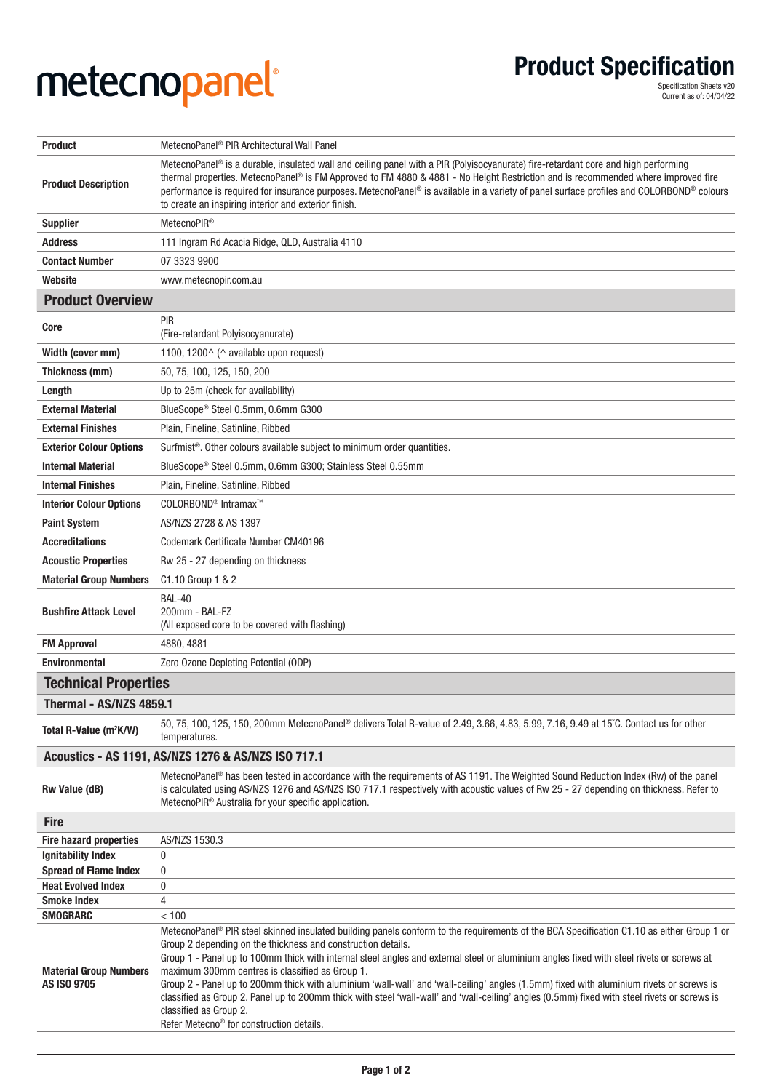## **metecnopanel Product Specification ®**

**Product Specification**<br>
Specification Sheets v20<br>
Current as of: 04/04/22

| <b>Product</b>                                      | MetecnoPanel <sup>®</sup> PIR Architectural Wall Panel                                                                                                                                                                                                                                                                                                                                                                                                                                                                                                                                                                                                                                                                                                                                |
|-----------------------------------------------------|---------------------------------------------------------------------------------------------------------------------------------------------------------------------------------------------------------------------------------------------------------------------------------------------------------------------------------------------------------------------------------------------------------------------------------------------------------------------------------------------------------------------------------------------------------------------------------------------------------------------------------------------------------------------------------------------------------------------------------------------------------------------------------------|
| <b>Product Description</b>                          | MetecnoPanel <sup>®</sup> is a durable, insulated wall and ceiling panel with a PIR (Polyisocyanurate) fire-retardant core and high performing<br>thermal properties. MetecnoPanel® is FM Approved to FM 4880 & 4881 - No Height Restriction and is recommended where improved fire<br>performance is required for insurance purposes. MetecnoPanel® is available in a variety of panel surface profiles and COLORBOND® colours<br>to create an inspiring interior and exterior finish.                                                                                                                                                                                                                                                                                               |
| <b>Supplier</b>                                     | MetecnoPIR <sup>®</sup>                                                                                                                                                                                                                                                                                                                                                                                                                                                                                                                                                                                                                                                                                                                                                               |
| <b>Address</b>                                      | 111 Ingram Rd Acacia Ridge, QLD, Australia 4110                                                                                                                                                                                                                                                                                                                                                                                                                                                                                                                                                                                                                                                                                                                                       |
| <b>Contact Number</b>                               | 07 3323 9900                                                                                                                                                                                                                                                                                                                                                                                                                                                                                                                                                                                                                                                                                                                                                                          |
| Website                                             | www.metecnopir.com.au                                                                                                                                                                                                                                                                                                                                                                                                                                                                                                                                                                                                                                                                                                                                                                 |
| <b>Product Overview</b>                             |                                                                                                                                                                                                                                                                                                                                                                                                                                                                                                                                                                                                                                                                                                                                                                                       |
| Core                                                | PIR<br>(Fire-retardant Polyisocyanurate)                                                                                                                                                                                                                                                                                                                                                                                                                                                                                                                                                                                                                                                                                                                                              |
| Width (cover mm)                                    | 1100, 1200 $\land$ ( $\land$ available upon request)                                                                                                                                                                                                                                                                                                                                                                                                                                                                                                                                                                                                                                                                                                                                  |
| Thickness (mm)                                      | 50, 75, 100, 125, 150, 200                                                                                                                                                                                                                                                                                                                                                                                                                                                                                                                                                                                                                                                                                                                                                            |
| Length                                              | Up to 25m (check for availability)                                                                                                                                                                                                                                                                                                                                                                                                                                                                                                                                                                                                                                                                                                                                                    |
| <b>External Material</b>                            | BlueScope® Steel 0.5mm, 0.6mm G300                                                                                                                                                                                                                                                                                                                                                                                                                                                                                                                                                                                                                                                                                                                                                    |
| <b>External Finishes</b>                            | Plain, Fineline, Satinline, Ribbed                                                                                                                                                                                                                                                                                                                                                                                                                                                                                                                                                                                                                                                                                                                                                    |
| <b>Exterior Colour Options</b>                      | Surfmist <sup>®</sup> . Other colours available subject to minimum order quantities.                                                                                                                                                                                                                                                                                                                                                                                                                                                                                                                                                                                                                                                                                                  |
| <b>Internal Material</b>                            | BlueScope® Steel 0.5mm, 0.6mm G300; Stainless Steel 0.55mm                                                                                                                                                                                                                                                                                                                                                                                                                                                                                                                                                                                                                                                                                                                            |
| <b>Internal Finishes</b>                            | Plain, Fineline, Satinline, Ribbed                                                                                                                                                                                                                                                                                                                                                                                                                                                                                                                                                                                                                                                                                                                                                    |
| <b>Interior Colour Options</b>                      | COLORBOND <sup>®</sup> Intramax <sup>™</sup>                                                                                                                                                                                                                                                                                                                                                                                                                                                                                                                                                                                                                                                                                                                                          |
| <b>Paint System</b>                                 | AS/NZS 2728 & AS 1397                                                                                                                                                                                                                                                                                                                                                                                                                                                                                                                                                                                                                                                                                                                                                                 |
| <b>Accreditations</b>                               | Codemark Certificate Number CM40196                                                                                                                                                                                                                                                                                                                                                                                                                                                                                                                                                                                                                                                                                                                                                   |
| <b>Acoustic Properties</b>                          | Rw 25 - 27 depending on thickness                                                                                                                                                                                                                                                                                                                                                                                                                                                                                                                                                                                                                                                                                                                                                     |
| <b>Material Group Numbers</b>                       | C1.10 Group 1 & 2                                                                                                                                                                                                                                                                                                                                                                                                                                                                                                                                                                                                                                                                                                                                                                     |
| <b>Bushfire Attack Level</b>                        | <b>BAL-40</b><br>200mm - BAL-FZ<br>(All exposed core to be covered with flashing)                                                                                                                                                                                                                                                                                                                                                                                                                                                                                                                                                                                                                                                                                                     |
| <b>FM Approval</b>                                  | 4880, 4881                                                                                                                                                                                                                                                                                                                                                                                                                                                                                                                                                                                                                                                                                                                                                                            |
| <b>Environmental</b>                                | Zero Ozone Depleting Potential (ODP)                                                                                                                                                                                                                                                                                                                                                                                                                                                                                                                                                                                                                                                                                                                                                  |
| <b>Technical Properties</b>                         |                                                                                                                                                                                                                                                                                                                                                                                                                                                                                                                                                                                                                                                                                                                                                                                       |
| Thermal - AS/NZS 4859.1                             |                                                                                                                                                                                                                                                                                                                                                                                                                                                                                                                                                                                                                                                                                                                                                                                       |
| Total R-Value (m <sup>2</sup> K/W)                  | 50, 75, 100, 125, 150, 200mm MetecnoPanel <sup>®</sup> delivers Total R-value of 2.49, 3.66, 4.83, 5.99, 7.16, 9.49 at 15°C. Contact us for other<br>temperatures.                                                                                                                                                                                                                                                                                                                                                                                                                                                                                                                                                                                                                    |
| Acoustics - AS 1191, AS/NZS 1276 & AS/NZS ISO 717.1 |                                                                                                                                                                                                                                                                                                                                                                                                                                                                                                                                                                                                                                                                                                                                                                                       |
| Rw Value (dB)                                       | MetecnoPanel <sup>®</sup> has been tested in accordance with the requirements of AS 1191. The Weighted Sound Reduction Index (Rw) of the panel<br>is calculated using AS/NZS 1276 and AS/NZS ISO 717.1 respectively with acoustic values of Rw 25 - 27 depending on thickness. Refer to<br>MetecnoPIR <sup>®</sup> Australia for your specific application.                                                                                                                                                                                                                                                                                                                                                                                                                           |
| <b>Fire</b>                                         |                                                                                                                                                                                                                                                                                                                                                                                                                                                                                                                                                                                                                                                                                                                                                                                       |
| <b>Fire hazard properties</b>                       | AS/NZS 1530.3                                                                                                                                                                                                                                                                                                                                                                                                                                                                                                                                                                                                                                                                                                                                                                         |
| <b>Ignitability Index</b>                           | 0                                                                                                                                                                                                                                                                                                                                                                                                                                                                                                                                                                                                                                                                                                                                                                                     |
| <b>Spread of Flame Index</b>                        | 0                                                                                                                                                                                                                                                                                                                                                                                                                                                                                                                                                                                                                                                                                                                                                                                     |
| <b>Heat Evolved Index</b><br><b>Smoke Index</b>     | 0<br>4                                                                                                                                                                                                                                                                                                                                                                                                                                                                                                                                                                                                                                                                                                                                                                                |
| <b>SMOGRARC</b>                                     | < 100                                                                                                                                                                                                                                                                                                                                                                                                                                                                                                                                                                                                                                                                                                                                                                                 |
| <b>Material Group Numbers</b><br><b>AS ISO 9705</b> | MetecnoPanel® PIR steel skinned insulated building panels conform to the requirements of the BCA Specification C1.10 as either Group 1 or<br>Group 2 depending on the thickness and construction details.<br>Group 1 - Panel up to 100mm thick with internal steel angles and external steel or aluminium angles fixed with steel rivets or screws at<br>maximum 300mm centres is classified as Group 1.<br>Group 2 - Panel up to 200mm thick with aluminium 'wall-wall' and 'wall-ceiling' angles (1.5mm) fixed with aluminium rivets or screws is<br>classified as Group 2. Panel up to 200mm thick with steel 'wall-wall' and 'wall-ceiling' angles (0.5mm) fixed with steel rivets or screws is<br>classified as Group 2.<br>Refer Metecno <sup>®</sup> for construction details. |